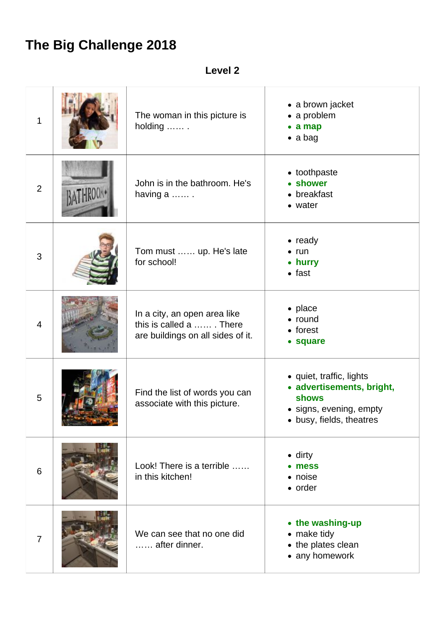## **The Big Challenge 2018**

**Level 2**

| 1              | The woman in this picture is<br>holding                                                      | • a brown jacket<br>• a problem<br>$\bullet$ a map<br>$\bullet$ a bag                                                        |
|----------------|----------------------------------------------------------------------------------------------|------------------------------------------------------------------------------------------------------------------------------|
| $\overline{2}$ | John is in the bathroom. He's<br>having a                                                    | • toothpaste<br>• shower<br>• breakfast<br>• water                                                                           |
| 3              | Tom must  up. He's late<br>for school!                                                       | $\bullet$ ready<br>$\bullet$ run<br>• hurry<br>$\bullet$ fast                                                                |
| $\overline{4}$ | In a city, an open area like<br>this is called a  There<br>are buildings on all sides of it. | • place<br>• round<br>• forest<br>• square                                                                                   |
| 5              | Find the list of words you can<br>associate with this picture.                               | • quiet, traffic, lights<br>• advertisements, bright,<br><b>shows</b><br>· signs, evening, empty<br>• busy, fields, theatres |
| 6              | Look! There is a terrible<br>in this kitchen!                                                | $\bullet$ dirty<br>• mess<br>• noise<br>• order                                                                              |
| $\overline{7}$ | We can see that no one did<br>after dinner.                                                  | • the washing-up<br>• make tidy<br>• the plates clean<br>• any homework                                                      |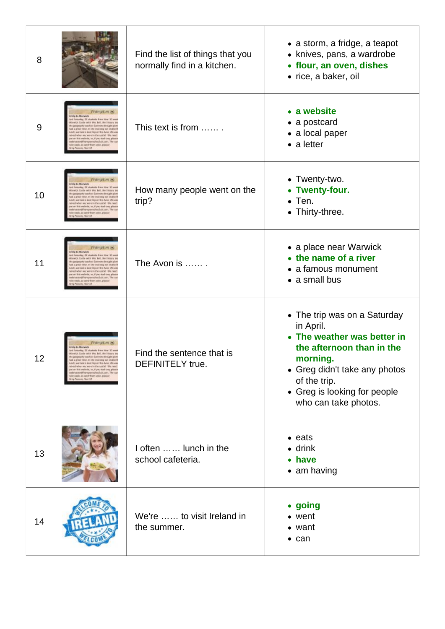| 8  |                                                                                                                                                                                                                                                                                                                                                                                                                   | Find the list of things that you<br>normally find in a kitchen. | • a storm, a fridge, a teapot<br>• knives, pans, a wardrobe<br>• flour, an oven, dishes<br>• rice, a baker, oil                                                                                                            |
|----|-------------------------------------------------------------------------------------------------------------------------------------------------------------------------------------------------------------------------------------------------------------------------------------------------------------------------------------------------------------------------------------------------------------------|-----------------------------------------------------------------|----------------------------------------------------------------------------------------------------------------------------------------------------------------------------------------------------------------------------|
| 9  | <b>Frampton</b> &<br>Saturday 22 students from Year 33 set<br>edi. Castle with Mrs Boll, the history to<br>spechi teacher. Everyone brought plct<br>a scenar blood. In the mockets we ended I<br>di, air taoir a boilt blo air the Auon. We are<br>of when we'were in the castle! We need<br>and solid, yo, if you lead any, pleas<br>Pramptonschool.uk.com, The cu<br>week, so send them soon, please!<br>New 10 | This text is from                                               | • a website<br>• a postcard<br>• a local paper<br>$\bullet$ a letter                                                                                                                                                       |
| 10 | Frampton<br>unlay 22 students from Your 37 now<br>raick Cards with Mrs Boll, the Nature to<br>generative teacher. Everyone brought plcs<br>a great likes, by the modeleg set studed I<br>, we took a bold top an the mon. We we<br>when we were in the castle! We need<br>this website, so, if you lead any, pleas<br>a texth's reproceduol uk zam. The ta<br>eak, so send them soon, please                      | How many people went on the<br>trip?                            | • Twenty-two.<br>• Twenty-four.<br>$\bullet$ Ten.<br>• Thirty-three.                                                                                                                                                       |
| 11 | Frampton<br>rip to Miarvich<br>Saturday 32 shadents free<br>eick Castle with Mrs Boll, the history ter<br>espachi teacher. Everyone brought plcs<br>eye, by the monining but studied.<br>we tack a bold top an the Auto. We we<br>if when we were in the centle! We need<br>an this website, so, if you lead any, please<br>nactor@framptonichool.uk.com. The ca<br>week, so send them soon, please!              | The Avon is                                                     | • a place near Warwick<br>• the name of a river<br>• a famous monument<br>• a small bus                                                                                                                                    |
| 12 | <b>Frampton</b> &<br>to to Miarvich<br>Letoning 22 students from Year 10 see<br>ock Castle with Mrs Boll, the history tes<br>prography teacher. Everyone brought plcs<br>eye, by the monining but studied.<br>VINES ALLOCATION CONTROL<br>R. so send them soon, plat                                                                                                                                              | Find the sentence that is<br><b>DEFINITELY</b> true.            | • The trip was on a Saturday<br>in April.<br>• The weather was better in<br>the afternoon than in the<br>morning.<br>• Greg didn't take any photos<br>of the trip.<br>• Greg is looking for people<br>who can take photos. |
| 13 |                                                                                                                                                                                                                                                                                                                                                                                                                   | I often  lunch in the<br>school cafeteria.                      | $\bullet$ eats<br>$\bullet$ drink<br>• have<br>• am having                                                                                                                                                                 |
| 14 |                                                                                                                                                                                                                                                                                                                                                                                                                   | We're  to visit Ireland in<br>the summer.                       | • going<br>• went<br>• want<br>$\bullet$ can                                                                                                                                                                               |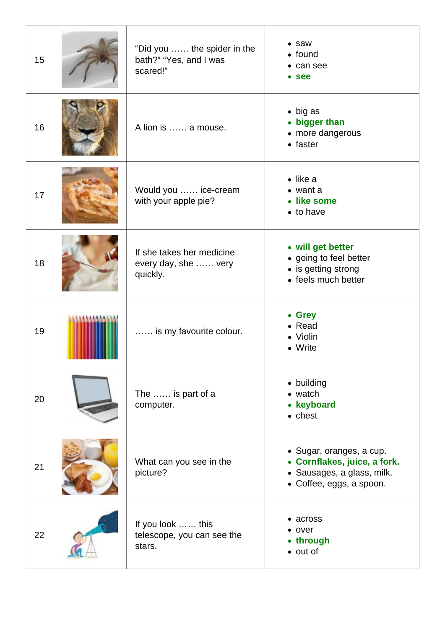| 15 | "Did you  the spider in the<br>bath?" "Yes, and I was<br>scared!" | • saw<br>$\bullet$ found<br>• can see<br>• see                                                                     |
|----|-------------------------------------------------------------------|--------------------------------------------------------------------------------------------------------------------|
| 16 | A lion is  a mouse.                                               | $\bullet$ big as<br>• bigger than<br>• more dangerous<br>$\bullet$ faster                                          |
| 17 | Would you  ice-cream<br>with your apple pie?                      | $\bullet$ like a<br>$\bullet$ want a<br>• like some<br>$\bullet$ to have                                           |
| 18 | If she takes her medicine<br>every day, she  very<br>quickly.     | • will get better<br>• going to feel better<br>• is getting strong<br>• feels much better                          |
| 19 | is my favourite colour.                                           | • Grey<br>• Read<br>• Violin<br>• Write                                                                            |
| 20 | The  is part of a<br>computer.                                    | • building<br>• watch<br>• keyboard<br>$\bullet$ chest                                                             |
| 21 | What can you see in the<br>picture?                               | · Sugar, oranges, a cup.<br>• Cornflakes, juice, a fork.<br>· Sausages, a glass, milk.<br>• Coffee, eggs, a spoon. |
| 22 | If you look  this<br>telescope, you can see the<br>stars.         | • across<br>• over<br>• through<br>• out of                                                                        |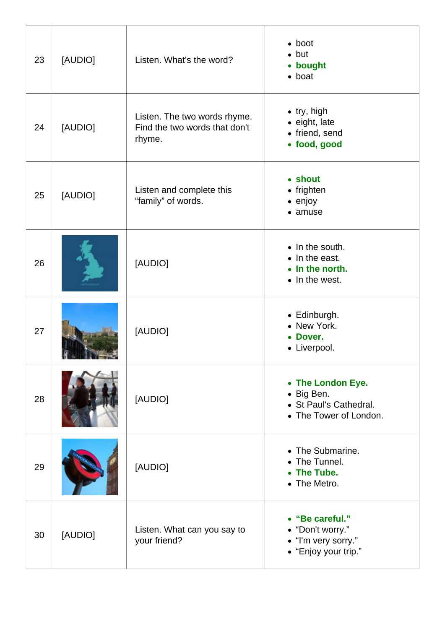| 23 | [AUDIO] | Listen. What's the word?                                                | $\bullet$ boot<br>$\bullet$ but<br>• bought<br>$\bullet$ boat                       |
|----|---------|-------------------------------------------------------------------------|-------------------------------------------------------------------------------------|
| 24 | [AUDIO] | Listen. The two words rhyme.<br>Find the two words that don't<br>rhyme. | $\bullet$ try, high<br>• eight, late<br>• friend, send<br>· food, good              |
| 25 | [AUDIO] | Listen and complete this<br>"family" of words.                          | • shout<br>• frighten<br>$\bullet$ enjoy<br>• amuse                                 |
| 26 |         | [AUDIO]                                                                 | • In the south.<br>• In the east.<br>• In the north.<br>• In the west.              |
| 27 |         | [AUDIO]                                                                 | • Edinburgh.<br>• New York.<br>• Dover.<br>• Liverpool.                             |
| 28 |         | [AUDIO]                                                                 | • The London Eye.<br>• Big Ben.<br>• St Paul's Cathedral.<br>• The Tower of London. |
| 29 |         | [AUDIO]                                                                 | • The Submarine.<br>• The Tunnel.<br>• The Tube.<br>• The Metro.                    |
| 30 | [AUDIO] | Listen. What can you say to<br>your friend?                             | • "Be careful."<br>• "Don't worry."<br>• "I'm very sorry."<br>• "Enjoy your trip."  |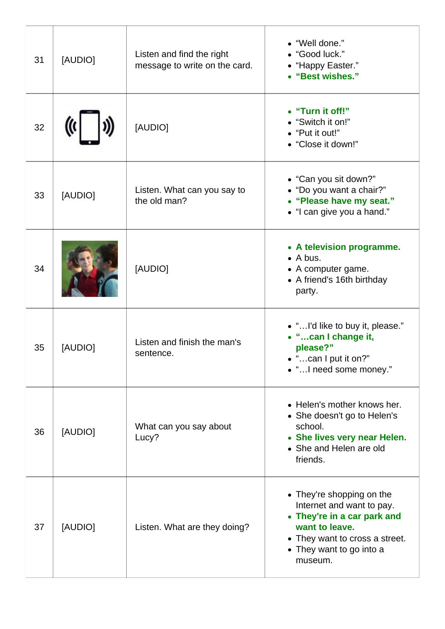| 31 | [AUDIO] | Listen and find the right<br>message to write on the card. | • "Well done."<br>• "Good luck."<br>• "Happy Easter."<br>• "Best wishes."                                                                                                        |
|----|---------|------------------------------------------------------------|----------------------------------------------------------------------------------------------------------------------------------------------------------------------------------|
| 32 |         | [AUDIO]                                                    | • "Turn it off!"<br>• "Switch it on!"<br>• "Put it out!"<br>• "Close it down!"                                                                                                   |
| 33 | [AUDIO] | Listen. What can you say to<br>the old man?                | • "Can you sit down?"<br>• "Do you want a chair?"<br>• "Please have my seat."<br>• "I can give you a hand."                                                                      |
| 34 |         | [AUDIO]                                                    | • A television programme.<br>$\bullet$ A bus.<br>• A computer game.<br>• A friend's 16th birthday<br>party.                                                                      |
| 35 | [AUDIO] | Listen and finish the man's<br>sentence.                   | • "I'd like to buy it, please."<br>• "can I change it,<br>please?"<br>$\bullet$ "can I put it on?"<br>• " I need some money."                                                    |
| 36 | [AUDIO] | What can you say about<br>Lucy?                            | • Helen's mother knows her.<br>• She doesn't go to Helen's<br>school.<br>• She lives very near Helen.<br>• She and Helen are old<br>friends.                                     |
| 37 | [AUDIO] | Listen. What are they doing?                               | • They're shopping on the<br>Internet and want to pay.<br>• They're in a car park and<br>want to leave.<br>• They want to cross a street.<br>• They want to go into a<br>museum. |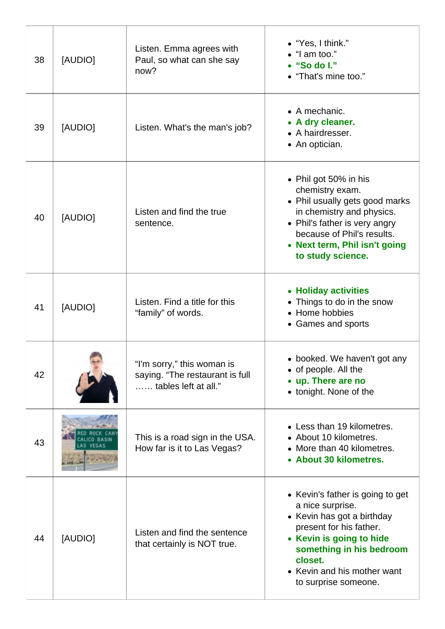| 38 | [AUDIO] | Listen. Emma agrees with<br>Paul, so what can she say<br>now?                         | $\bullet$ "Yes, I think."<br>$\bullet$ "I am too."<br>$\bullet$ "So do I."<br>• "That's mine too."                                                                                                                                      |
|----|---------|---------------------------------------------------------------------------------------|-----------------------------------------------------------------------------------------------------------------------------------------------------------------------------------------------------------------------------------------|
| 39 | [AUDIO] | Listen. What's the man's job?                                                         | $\bullet$ A mechanic.<br>• A dry cleaner.<br>• A hairdresser.<br>• An optician.                                                                                                                                                         |
| 40 | [AUDIO] | Listen and find the true<br>sentence.                                                 | • Phil got 50% in his<br>chemistry exam.<br>• Phil usually gets good marks<br>in chemistry and physics.<br>• Phil's father is very angry<br>because of Phil's results.<br>• Next term, Phil isn't going<br>to study science.            |
| 41 | [AUDIO] | Listen. Find a title for this<br>"family" of words.                                   | • Holiday activities<br>• Things to do in the snow<br>• Home hobbies<br>• Games and sports                                                                                                                                              |
| 42 |         | "I'm sorry," this woman is<br>saying. "The restaurant is full<br>tables left at all." | • booked. We haven't got any<br>• of people. All the<br>• up. There are no<br>• tonight. None of the                                                                                                                                    |
| 43 |         | This is a road sign in the USA.<br>How far is it to Las Vegas?                        | • Less than 19 kilometres.<br>• About 10 kilometres.<br>• More than 40 kilometres.<br>• About 30 kilometres.                                                                                                                            |
| 44 | [AUDIO] | Listen and find the sentence<br>that certainly is NOT true.                           | • Kevin's father is going to get<br>a nice surprise.<br>• Kevin has got a birthday<br>present for his father.<br>• Kevin is going to hide<br>something in his bedroom<br>closet.<br>• Kevin and his mother want<br>to surprise someone. |